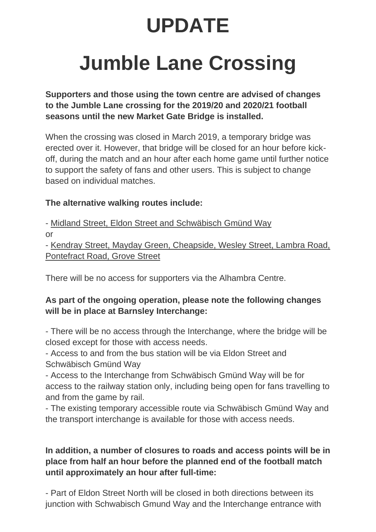# **UPDATE**

# **Jumble Lane Crossing**

**Supporters and those using the town centre are advised of changes to the Jumble Lane crossing for the 2019/20 and 2020/21 football seasons until the new Market Gate Bridge is installed.**

When the crossing was closed in March 2019, a temporary bridge was erected over it. However, that bridge will be closed for an hour before kickoff, during the match and an hour after each home game until further notice to support the safety of fans and other users. This is subject to change based on individual matches.

#### **The alternative walking routes include:**

- [Midland Street, Eldon Street and Schwäbisch Gmünd Way](https://www.barnsley.gov.uk/media/11586/alternative-route-1-1.png) or - [Kendray Street, Mayday Green, Cheapside, Wesley Street, Lambra Road,](https://www.barnsley.gov.uk/media/11587/alternative-route-2-1.png)  [Pontefract Road, Grove Street](https://www.barnsley.gov.uk/media/11587/alternative-route-2-1.png)

There will be no access for supporters via the Alhambra Centre.

## **As part of the ongoing operation, please note the following changes will be in place at Barnsley Interchange:**

- There will be no access through the Interchange, where the bridge will be closed except for those with access needs.

- Access to and from the bus station will be via Eldon Street and Schwäbisch Gmünd Way

- Access to the Interchange from Schwäbisch Gmünd Way will be for access to the railway station only, including being open for fans travelling to and from the game by rail.

- The existing temporary accessible route via Schwäbisch Gmünd Way and the transport interchange is available for those with access needs.

## **In addition, a number of closures to roads and access points will be in place from half an hour before the planned end of the football match until approximately an hour after full-time:**

- Part of Eldon Street North will be closed in both directions between its junction with Schwabisch Gmund Way and the Interchange entrance with